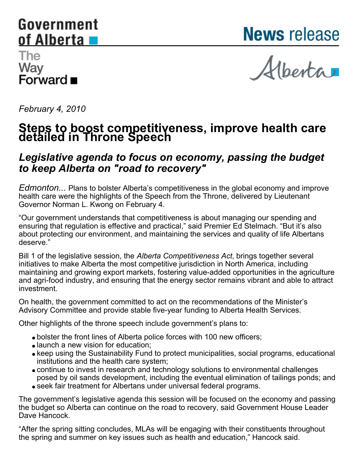# <span id="page-0-0"></span>Government of Alberta

**News** release

# The Way …<br>Forward ■

Alberta

*February 4, 2010*

# **Steps to boost competitiveness, improve health care detailed in Throne Speech**

# *Legislative agenda to focus on economy, passing the budget to keep Alberta on "road to recovery"*

*Edmonton...* Plans to bolster Alberta's competitiveness in the global economy and improve health care were the highlights of the Speech from the Throne, delivered by Lieutenant Governor Norman L. Kwong on February 4.

"Our government understands that competitiveness is about managing our spending and ensuring that regulation is effective and practical," said Premier Ed Stelmach. "But it's also about protecting our environment, and maintaining the services and quality of life Albertans deserve."

Bill 1 of the legislative session, the *Alberta Competitiveness Act*, brings together several initiatives to make Alberta the most competitive jurisdiction in North America, including maintaining and growing export markets, fostering value-added opportunities in the agriculture and agri-food industry, and ensuring that the energy sector remains vibrant and able to attract investment.

On health, the government committed to act on the recommendations of the Minister's Advisory Committee and provide stable five-year funding to Alberta Health Services.

Other highlights of the throne speech include government's plans to:

- bolster the front lines of Alberta police forces with 100 new officers;
- launch a new vision for education;
- keep using the Sustainability Fund to protect municipalities, social programs, educational institutions and the health care system;
- continue to invest in research and technology solutions to environmental challenges posed by oil sands development, including the eventual elimination of tailings ponds; and
- seek fair treatment for Albertans under universal federal programs.

The government's legislative agenda this session will be focused on the economy and passing the budget so Alberta can continue on the road to recovery, said Government House Leader Dave Hancock.

"After the spring sitting concludes, MLAs will be engaging with their constituents throughout the spring and summer on key issues such as health and education," Hancock said.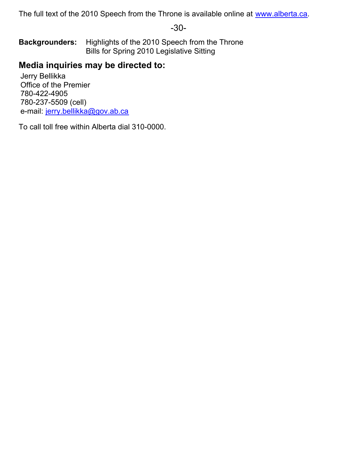The full text of the 2010 Speech from the Throne is available online at [www.alberta.ca](http://www.alberta.ca).

-30-

**Backgrounders:** Highlights of the 2010 Speech from the Throne Bills for Spring 2010 Legislative Sitting

# **Media inquiries may be directed to:**

Jerry Bellikka Office of the Premier 780-422-4905 780-237-5509 (cell) e-mail: [jerry.bellikka@gov.ab.ca](mailto:jerry.bellikka@gov.ab.ca)

To call toll free within Alberta dial 310-0000.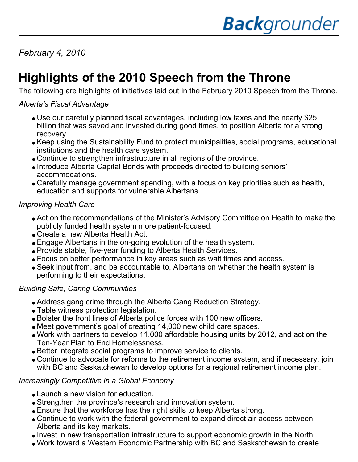*February 4, 2010*

# **Highlights of the 2010 Speech from the Throne**

The following are highlights of initiatives laid out in the February 2010 Speech from the Throne.

# *Alberta's Fiscal Advantage*

- Use our carefully planned fiscal advantages, including low taxes and the nearly \$25 billion that was saved and invested during good times, to position Alberta for a strong recovery.
- Keep using the Sustainability Fund to protect municipalities, social programs, educational institutions and the health care system.
- Continue to strengthen infrastructure in all regions of the province.
- Introduce Alberta Capital Bonds with proceeds directed to building seniors' accommodations.
- Carefully manage government spending, with a focus on key priorities such as health, education and supports for vulnerable Albertans.

### *Improving Health Care*

- Act on the recommendations of the Minister's Advisory Committee on Health to make the publicly funded health system more patient-focused.
- Create a new Alberta Health Act.
- Engage Albertans in the on-going evolution of the health system.
- Provide stable, five-year funding to Alberta Health Services.
- Focus on better performance in key areas such as wait times and access.
- Seek input from, and be accountable to, Albertans on whether the health system is performing to their expectations.

# *Building Safe, Caring Communities*

- Address gang crime through the Alberta Gang Reduction Strategy.
- Table witness protection legislation.
- Bolster the front lines of Alberta police forces with 100 new officers.
- Meet government's goal of creating 14,000 new child care spaces.
- Work with partners to develop 11,000 affordable housing units by 2012, and act on the Ten-Year Plan to End Homelessness.
- Better integrate social programs to improve service to clients.
- Continue to advocate for reforms to the retirement income system, and if necessary, join with BC and Saskatchewan to develop options for a regional retirement income plan.

# *Increasingly Competitive in a Global Economy*

- Launch a new vision for education.
- Strengthen the province's research and innovation system.
- Ensure that the workforce has the right skills to keep Alberta strong.
- Continue to work with the federal government to expand direct air access between Alberta and its key markets.
- Invest in new transportation infrastructure to support economic growth in the North.
- Work toward a Western Economic Partnership with BC and Saskatchewan to create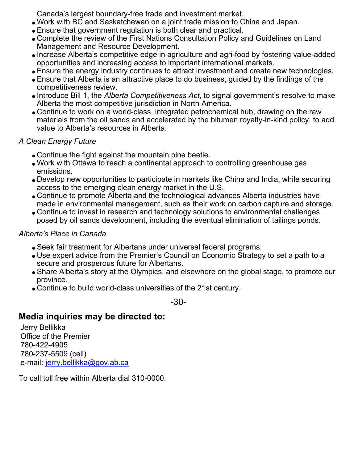Canada's largest boundary-free trade and investment market.

- Work with BC and Saskatchewan on a joint trade mission to China and Japan.
- Ensure that government regulation is both clear and practical.
- Complete the review of the First Nations Consultation Policy and Guidelines on Land Management and Resource Development.
- Increase Alberta's competitive edge in agriculture and agri-food by fostering value-added opportunities and increasing access to important international markets.
- Ensure the energy industry continues to attract investment and create new technologies.
- Ensure that Alberta is an attractive place to do business, guided by the findings of the competitiveness review.
- Introduce Bill 1, the *Alberta Competitiveness Act*, to signal government's resolve to make Alberta the most competitive jurisdiction in North America.
- Continue to work on a world-class, integrated petrochemical hub, drawing on the raw materials from the oil sands and accelerated by the bitumen royalty-in-kind policy, to add value to Alberta's resources in Alberta.

# *A Clean Energy Future*

- Continue the fight against the mountain pine beetle.
- Work with Ottawa to reach a continental approach to controlling greenhouse gas emissions.
- Develop new opportunities to participate in markets like China and India, while securing access to the emerging clean energy market in the U.S.
- Continue to promote Alberta and the technological advances Alberta industries have made in environmental management, such as their work on carbon capture and storage.
- Continue to invest in research and technology solutions to environmental challenges posed by oil sands development, including the eventual elimination of tailings ponds.

# *Alberta's Place in Canada*

- Seek fair treatment for Albertans under universal federal programs.
- Use expert advice from the Premier's Council on Economic Strategy to set a path to a secure and prosperous future for Albertans.
- Share Alberta's story at the Olympics, and elsewhere on the global stage, to promote our province.
- Continue to build world-class universities of the 21st century.

-30-

# **Media inquiries may be directed to:**

Jerry Bellikka Office of the Premier 780-422-4905 780-237-5509 (cell) e-mail: [jerry.bellikka@gov.ab.ca](mailto:jerry.bellikka@gov.ab.ca)

To call toll free within Alberta dial 310-0000.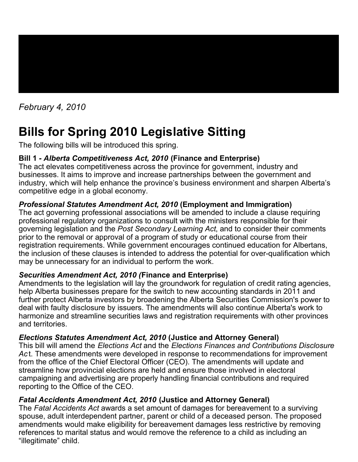

# *February 4, 2010*

# **Bills for Spring 2010 Legislative Sitting**

The following bills will be introduced this spring.

# **Bill 1** *- Alberta Competitiveness Act, 2010* **(Finance and Enterprise)**

The act elevates competitiveness across the province for government, industry and businesses. It aims to improve and increase partnerships between the government and industry, which will help enhance the province's business environment and sharpen Alberta's competitive edge in a global economy.

# *Professional Statutes Amendment Act, 2010* **(Employment and Immigration)**

The act governing professional associations will be amended to include a clause requiring professional regulatory organizations to consult with the ministers responsible for their governing legislation and the *Post Secondary Learning Act*, and to consider their comments prior to the removal or approval of a program of study or educational course from their registration requirements. While government encourages continued education for Albertans, the inclusion of these clauses is intended to address the potential for over-qualification which may be unnecessary for an individual to perform the work.

# *Securities Amendment Act, 2010 (***Finance and Enterprise)**

Amendments to the legislation will lay the groundwork for regulation of credit rating agencies, help Alberta businesses prepare for the switch to new accounting standards in 2011 and further protect Alberta investors by broadening the Alberta Securities Commission's power to deal with faulty disclosure by issuers. The amendments will also continue Alberta's work to harmonize and streamline securities laws and registration requirements with other provinces and territories.

# *Elections Statutes Amendment Act, 2010* **(Justice and Attorney General)**

This bill will amend the *Elections Act* and the *Elections Finances and Contributions Disclosure Ac* t. These amendments were developed in response to recommendations for improvement from the office of the Chief Electoral Officer (CEO). The amendments will update and streamline how provincial elections are held and ensure those involved in electoral campaigning and advertising are properly handling financial contributions and required reporting to the Office of the CEO.

# *Fatal Accidents Amendment Act, 2010* **(Justice and Attorney General)**

The *Fatal Accidents Act* awards a set amount of damages for bereavement to a surviving spouse, adult interdependent partner, parent or child of a deceased person. The proposed amendments would make eligibility for bereavement damages less restrictive by removing references to marital status and would remove the reference to a child as including an "illegitimate" child.